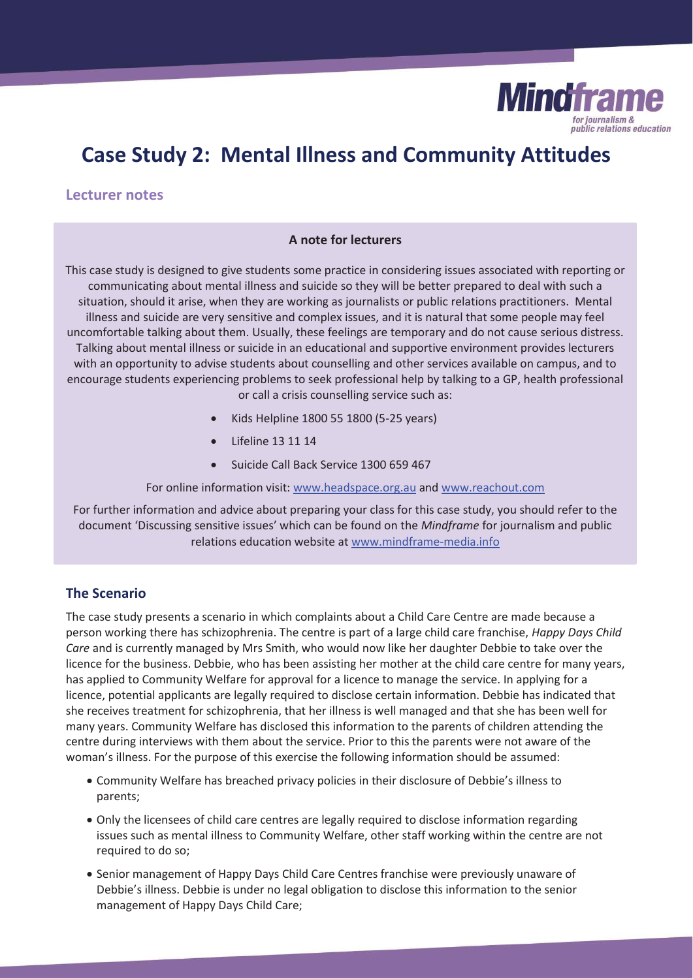

# **Case Study 2: Mental Illness and Community Attitudes**

#### **Lecturer notes**

#### **A note for lecturers**

This case study is designed to give students some practice in considering issues associated with reporting or communicating about mental illness and suicide so they will be better prepared to deal with such a situation, should it arise, when they are working as journalists or public relations practitioners. Mental illness and suicide are very sensitive and complex issues, and it is natural that some people may feel uncomfortable talking about them. Usually, these feelings are temporary and do not cause serious distress. Talking about mental illness or suicide in an educational and supportive environment provides lecturers with an opportunity to advise students about counselling and other services available on campus, and to encourage students experiencing problems to seek professional help by talking to a GP, health professional or call a crisis counselling service such as:

- x Kids Helpline 1800 55 1800 (5-25 years)
- x Lifeline 13 11 14
- Suicide Call Back Service 1300 659 467

For online information visit: www.headspace.org.au and www.reachout.com

For further information and advice about preparing your class for this case study, you should refer to the document 'Discussing sensitive issues' which can be found on the *Mindframe* for journalism and public relations education website at www.mindframe-media.info

# **The Scenario**

The case study presents a scenario in which complaints about a Child Care Centre are made because a person working there has schizophrenia. The centre is part of a large child care franchise, *Happy Days Child Care* and is currently managed by Mrs Smith, who would now like her daughter Debbie to take over the licence for the business. Debbie, who has been assisting her mother at the child care centre for many years, has applied to Community Welfare for approval for a licence to manage the service. In applying for a licence, potential applicants are legally required to disclose certain information. Debbie has indicated that she receives treatment for schizophrenia, that her illness is well managed and that she has been well for many years. Community Welfare has disclosed this information to the parents of children attending the centre during interviews with them about the service. Prior to this the parents were not aware of the woman's illness. For the purpose of this exercise the following information should be assumed:

- Community Welfare has breached privacy policies in their disclosure of Debbie's illness to parents;
- Only the licensees of child care centres are legally required to disclose information regarding issues such as mental illness to Community Welfare, other staff working within the centre are not required to do so;
- Senior management of Happy Days Child Care Centres franchise were previously unaware of Debbie's illness. Debbie is under no legal obligation to disclose this information to the senior management of Happy Days Child Care;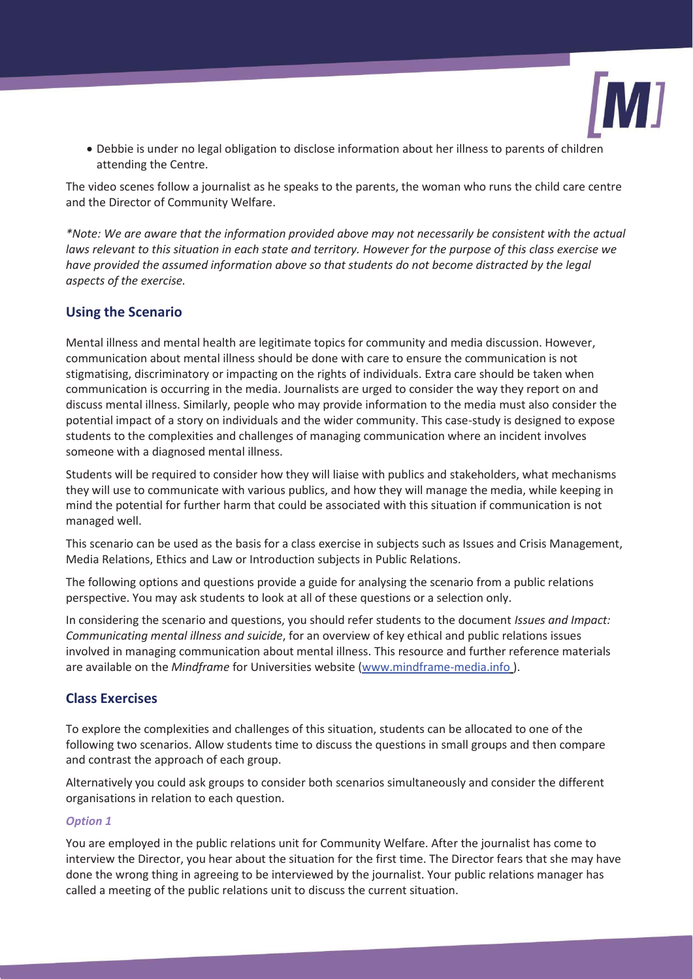

• Debbie is under no legal obligation to disclose information about her illness to parents of children attending the Centre.

The video scenes follow a journalist as he speaks to the parents, the woman who runs the child care centre and the Director of Community Welfare.

*\*Note: We are aware that the information provided above may not necessarily be consistent with the actual laws relevant to this situation in each state and territory. However for the purpose of this class exercise we have provided the assumed information above so that students do not become distracted by the legal aspects of the exercise.*

# **Using the Scenario**

Mental illness and mental health are legitimate topics for community and media discussion. However, communication about mental illness should be done with care to ensure the communication is not stigmatising, discriminatory or impacting on the rights of individuals. Extra care should be taken when communication is occurring in the media. Journalists are urged to consider the way they report on and discuss mental illness. Similarly, people who may provide information to the media must also consider the potential impact of a story on individuals and the wider community. This case-study is designed to expose students to the complexities and challenges of managing communication where an incident involves someone with a diagnosed mental illness.

Students will be required to consider how they will liaise with publics and stakeholders, what mechanisms they will use to communicate with various publics, and how they will manage the media, while keeping in mind the potential for further harm that could be associated with this situation if communication is not managed well.

This scenario can be used as the basis for a class exercise in subjects such as Issues and Crisis Management, Media Relations, Ethics and Law or Introduction subjects in Public Relations.

The following options and questions provide a guide for analysing the scenario from a public relations perspective. You may ask students to look at all of these questions or a selection only.

In considering the scenario and questions, you should refer students to the document *Issues and Impact: Communicating mental illness and suicide*, for an overview of key ethical and public relations issues involved in managing communication about mental illness. This resource and further reference materials are available on the *Mindframe* for Universities website (www.mindframe-media.info ).

# **Class Exercises**

To explore the complexities and challenges of this situation, students can be allocated to one of the following two scenarios. Allow students time to discuss the questions in small groups and then compare and contrast the approach of each group.

Alternatively you could ask groups to consider both scenarios simultaneously and consider the different organisations in relation to each question.

#### *Option 1*

You are employed in the public relations unit for Community Welfare. After the journalist has come to interview the Director, you hear about the situation for the first time. The Director fears that she may have done the wrong thing in agreeing to be interviewed by the journalist. Your public relations manager has called a meeting of the public relations unit to discuss the current situation.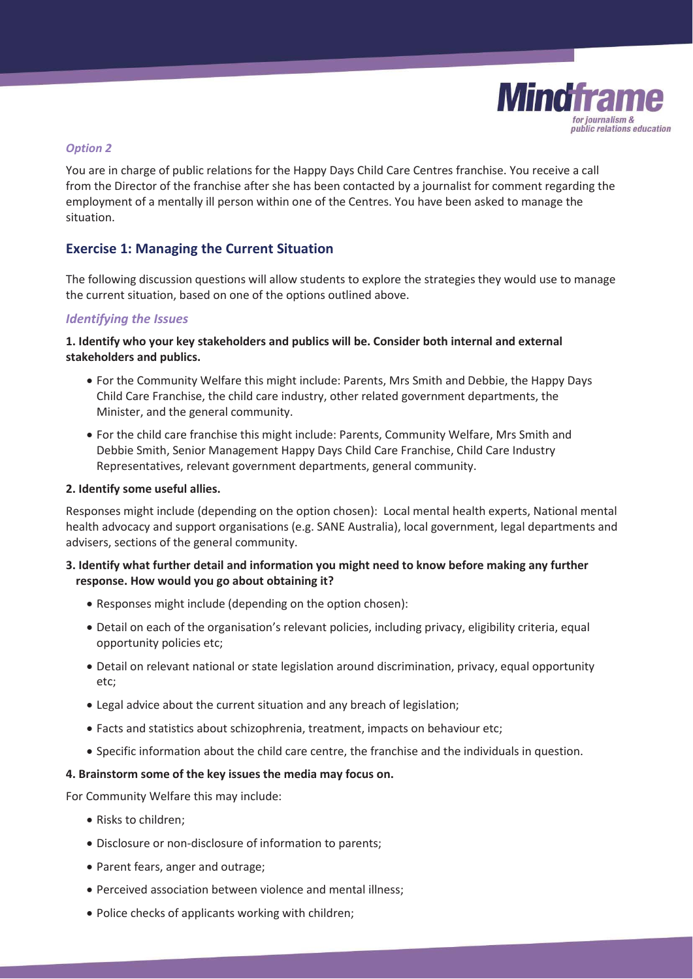

#### *Option 2*

You are in charge of public relations for the Happy Days Child Care Centres franchise. You receive a call from the Director of the franchise after she has been contacted by a journalist for comment regarding the employment of a mentally ill person within one of the Centres. You have been asked to manage the situation.

# **Exercise 1: Managing the Current Situation**

The following discussion questions will allow students to explore the strategies they would use to manage the current situation, based on one of the options outlined above.

## *Identifying the Issues*

#### **1. Identify who your key stakeholders and publics will be. Consider both internal and external stakeholders and publics.**

- For the Community Welfare this might include: Parents, Mrs Smith and Debbie, the Happy Days Child Care Franchise, the child care industry, other related government departments, the Minister, and the general community.
- For the child care franchise this might include: Parents, Community Welfare, Mrs Smith and Debbie Smith, Senior Management Happy Days Child Care Franchise, Child Care Industry Representatives, relevant government departments, general community.

#### **2. Identify some useful allies.**

Responses might include (depending on the option chosen): Local mental health experts, National mental health advocacy and support organisations (e.g. SANE Australia), local government, legal departments and advisers, sections of the general community.

#### **3. Identify what further detail and information you might need to know before making any further response. How would you go about obtaining it?**

- Responses might include (depending on the option chosen):
- x Detail on each of the organisation's relevant policies, including privacy, eligibility criteria, equal opportunity policies etc;
- Detail on relevant national or state legislation around discrimination, privacy, equal opportunity etc;
- Legal advice about the current situation and any breach of legislation;
- Facts and statistics about schizophrenia, treatment, impacts on behaviour etc;
- x Specific information about the child care centre, the franchise and the individuals in question.

#### **4. Brainstorm some of the key issues the media may focus on.**

For Community Welfare this may include:

- Risks to children:
- Disclosure or non-disclosure of information to parents;
- Parent fears, anger and outrage;
- Perceived association between violence and mental illness:
- Police checks of applicants working with children;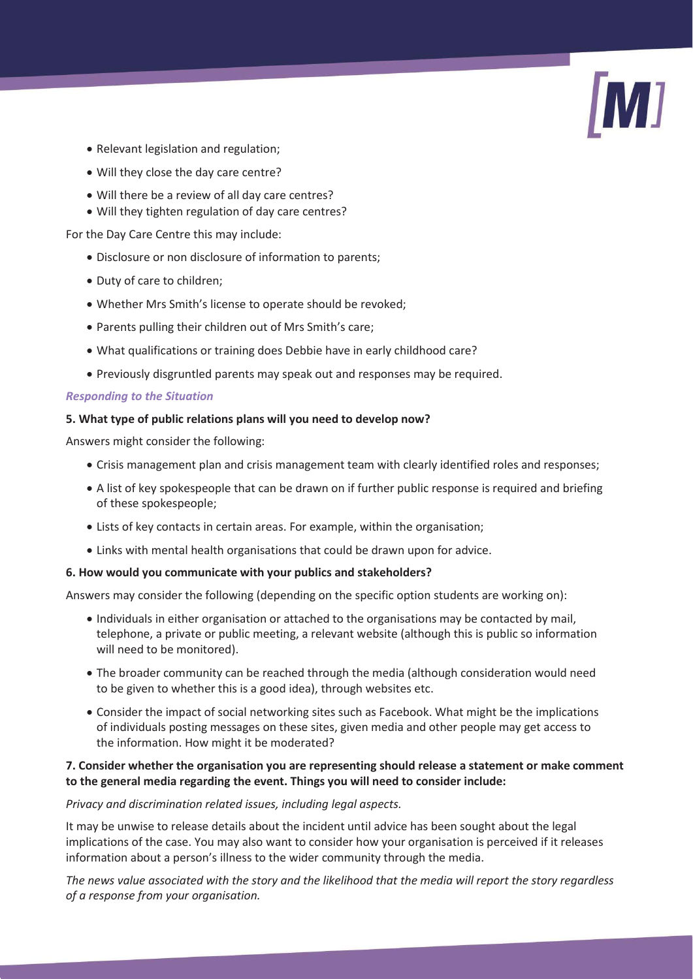

- Relevant legislation and regulation:
- Will they close the day care centre?
- Will there be a review of all day care centres?
- Will they tighten regulation of day care centres?

For the Day Care Centre this may include:

- Disclosure or non disclosure of information to parents;
- Duty of care to children;
- Whether Mrs Smith's license to operate should be revoked;
- Parents pulling their children out of Mrs Smith's care;
- What qualifications or training does Debbie have in early childhood care?
- Previously disgruntled parents may speak out and responses may be required.

#### *Responding to the Situation*

#### **5. What type of public relations plans will you need to develop now?**

Answers might consider the following:

- Crisis management plan and crisis management team with clearly identified roles and responses;
- A list of key spokespeople that can be drawn on if further public response is required and briefing of these spokespeople;
- Lists of key contacts in certain areas. For example, within the organisation;
- Links with mental health organisations that could be drawn upon for advice.

#### **6. How would you communicate with your publics and stakeholders?**

Answers may consider the following (depending on the specific option students are working on):

- Individuals in either organisation or attached to the organisations may be contacted by mail, telephone, a private or public meeting, a relevant website (although this is public so information will need to be monitored).
- The broader community can be reached through the media (although consideration would need to be given to whether this is a good idea), through websites etc.
- Consider the impact of social networking sites such as Facebook. What might be the implications of individuals posting messages on these sites, given media and other people may get access to the information. How might it be moderated?

# **7. Consider whether the organisation you are representing should release a statement or make comment to the general media regarding the event. Things you will need to consider include:**

#### *Privacy and discrimination related issues, including legal aspects.*

It may be unwise to release details about the incident until advice has been sought about the legal implications of the case. You may also want to consider how your organisation is perceived if it releases information about a person's illness to the wider community through the media.

*The news value associated with the story and the likelihood that the media will report the story regardless of a response from your organisation.*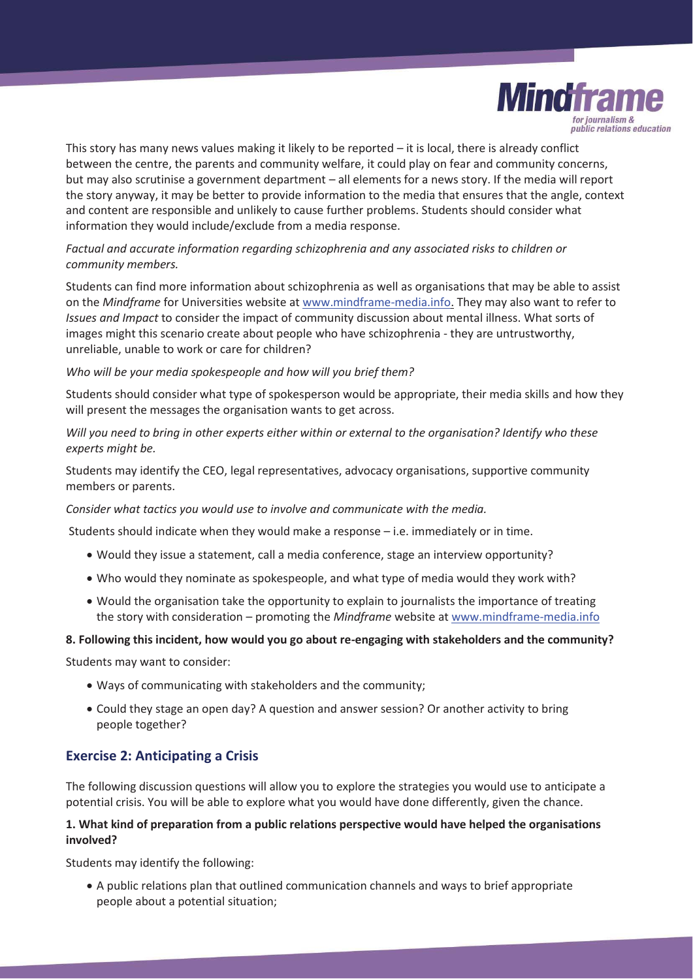

This story has many news values making it likely to be reported – it is local, there is already conflict between the centre, the parents and community welfare, it could play on fear and community concerns, but may also scrutinise a government department – all elements for a news story. If the media will report the story anyway, it may be better to provide information to the media that ensures that the angle, context and content are responsible and unlikely to cause further problems. Students should consider what information they would include/exclude from a media response.

# *Factual and accurate information regarding schizophrenia and any associated risks to children or community members.*

Students can find more information about schizophrenia as well as organisations that may be able to assist on the *Mindframe* for Universities website at www.mindframe-media.info. They may also want to refer to *Issues and Impact* to consider the impact of community discussion about mental illness. What sorts of images might this scenario create about people who have schizophrenia - they are untrustworthy, unreliable, unable to work or care for children?

#### *Who will be your media spokespeople and how will you brief them?*

Students should consider what type of spokesperson would be appropriate, their media skills and how they will present the messages the organisation wants to get across.

*Will you need to bring in other experts either within or external to the organisation? Identify who these experts might be.* 

Students may identify the CEO, legal representatives, advocacy organisations, supportive community members or parents.

*Consider what tactics you would use to involve and communicate with the media.* 

Students should indicate when they would make a response – i.e. immediately or in time.

- Would they issue a statement, call a media conference, stage an interview opportunity?
- Who would they nominate as spokespeople, and what type of media would they work with?
- Would the organisation take the opportunity to explain to journalists the importance of treating the story with consideration – promoting the *Mindframe* website at www.mindframe-media.info

#### **8. Following this incident, how would you go about re-engaging with stakeholders and the community?**

Students may want to consider:

- Ways of communicating with stakeholders and the community;
- Could they stage an open day? A question and answer session? Or another activity to bring people together?

# **Exercise 2: Anticipating a Crisis**

The following discussion questions will allow you to explore the strategies you would use to anticipate a potential crisis. You will be able to explore what you would have done differently, given the chance.

#### **1. What kind of preparation from a public relations perspective would have helped the organisations involved?**

Students may identify the following:

• A public relations plan that outlined communication channels and ways to brief appropriate people about a potential situation;